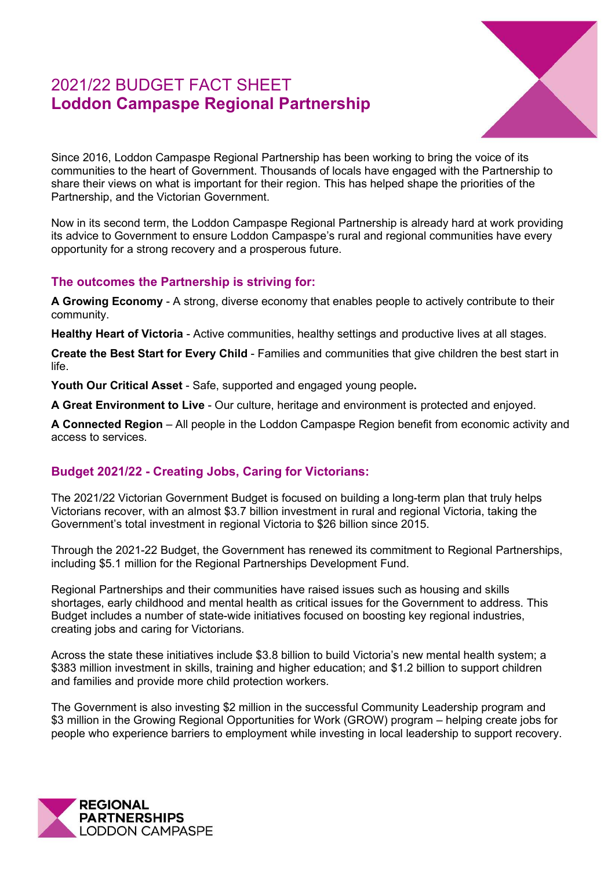# 2021/22 BUDGET FACT SHEET **Loddon Campaspe Regional Partnership**



Since 2016, Loddon Campaspe Regional Partnership has been working to bring the voice of its communities to the heart of Government. Thousands of locals have engaged with the Partnership to share their views on what is important for their region. This has helped shape the priorities of the Partnership, and the Victorian Government.

Now in its second term, the Loddon Campaspe Regional Partnership is already hard at work providing its advice to Government to ensure Loddon Campaspe's rural and regional communities have every opportunity for a strong recovery and a prosperous future.

#### **The outcomes the Partnership is striving for:**

**A Growing Economy** - A strong, diverse economy that enables people to actively contribute to their community.

**Healthy Heart of Victoria** - Active communities, healthy settings and productive lives at all stages.

**Create the Best Start for Every Child** - Families and communities that give children the best start in life.

**Youth Our Critical Asset** - Safe, supported and engaged young people**.** 

**A Great Environment to Live** - Our culture, heritage and environment is protected and enjoyed.

**A Connected Region** – All people in the Loddon Campaspe Region benefit from economic activity and access to services.

## **Budget 2021/22 - Creating Jobs, Caring for Victorians:**

The 2021/22 Victorian Government Budget is focused on building a long-term plan that truly helps Victorians recover, with an almost \$3.7 billion investment in rural and regional Victoria, taking the Government's total investment in regional Victoria to \$26 billion since 2015.

Through the 2021-22 Budget, the Government has renewed its commitment to Regional Partnerships, including \$5.1 million for the Regional Partnerships Development Fund.

Regional Partnerships and their communities have raised issues such as housing and skills shortages, early childhood and mental health as critical issues for the Government to address. This Budget includes a number of state-wide initiatives focused on boosting key regional industries, creating jobs and caring for Victorians.

Across the state these initiatives include \$3.8 billion to build Victoria's new mental health system; a \$383 million investment in skills, training and higher education; and \$1.2 billion to support children and families and provide more child protection workers.

The Government is also investing \$2 million in the successful Community Leadership program and \$3 million in the Growing Regional Opportunities for Work (GROW) program – helping create jobs for people who experience barriers to employment while investing in local leadership to support recovery.

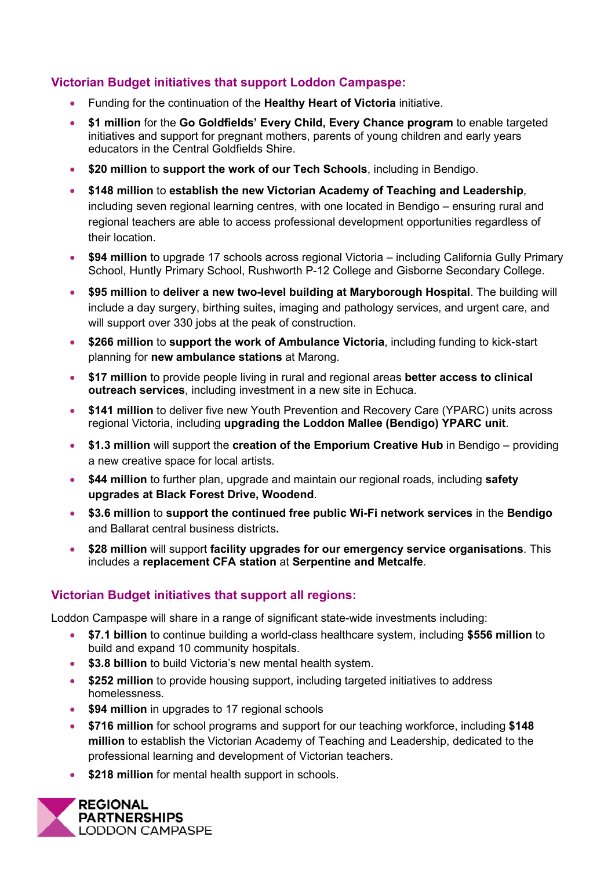## **Victorian Budget initiatives that support Loddon Campaspe:**

- Funding for the continuation of the **Healthy Heart of Victoria** initiative.
- **\$1 million** for the **Go Goldfields' Every Child, Every Chance program** to enable targeted initiatives and support for pregnant mothers, parents of young children and early years educators in the Central Goldfields Shire.
- **\$20 million** to **support the work of our Tech Schools**, including in Bendigo.
- **\$148 million** to **establish the new Victorian Academy of Teaching and Leadership**, including seven regional learning centres, with one located in Bendigo – ensuring rural and regional teachers are able to access professional development opportunities regardless of their location.
- **\$94 million** to upgrade 17 schools across regional Victoria including California Gully Primary School, Huntly Primary School, Rushworth P-12 College and Gisborne Secondary College.
- **\$95 million** to **deliver a new two-level building at Maryborough Hospital**. The building will include a day surgery, birthing suites, imaging and pathology services, and urgent care, and will support over 330 jobs at the peak of construction.
- **\$266 million** to **support the work of Ambulance Victoria**, including funding to kick-start planning for **new ambulance stations** at Marong.
- **\$17 million** to provide people living in rural and regional areas **better access to clinical outreach services**, including investment in a new site in Echuca.
- **\$141 million** to deliver five new Youth Prevention and Recovery Care (YPARC) units across regional Victoria, including **upgrading the Loddon Mallee (Bendigo) YPARC unit**.
- **\$1.3 million** will support the **creation of the Emporium Creative Hub** in Bendigo providing a new creative space for local artists.
- **\$44 million** to further plan, upgrade and maintain our regional roads, including **safety upgrades at Black Forest Drive, Woodend**.
- **\$3.6 million** to **support the continued free public Wi-Fi network services** in the **Bendigo** and Ballarat central business districts**.**
- **\$28 million** will support **facility upgrades for our emergency service organisations**. This includes a **replacement CFA station** at **Serpentine and Metcalfe**.

## **Victorian Budget initiatives that support all regions:**

Loddon Campaspe will share in a range of significant state-wide investments including:

- **\$7.1 billion** to continue building a world-class healthcare system, including **\$556 million** to build and expand 10 community hospitals.
- **\$3.8 billion** to build Victoria's new mental health system.
- **\$252 million** to provide housing support, including targeted initiatives to address homelessness.
- **\$94 million** in upgrades to 17 regional schools
- **\$716 million** for school programs and support for our teaching workforce, including **\$148 million** to establish the Victorian Academy of Teaching and Leadership, dedicated to the professional learning and development of Victorian teachers.
- **\$218 million** for mental health support in schools.